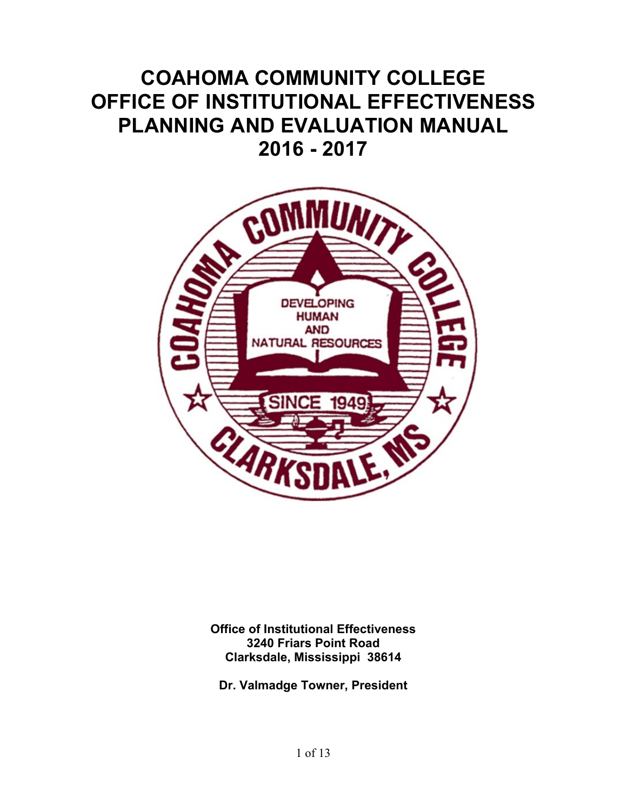# **COAHOMA COMMUNITY COLLEGE OFFICE OF INSTITUTIONAL EFFECTIVENESS PLANNING AND EVALUATION MANUAL 2016 - 2017**



**Office of Institutional Effectiveness 3240 Friars Point Road Clarksdale, Mississippi 38614**

**Dr. Valmadge Towner, President**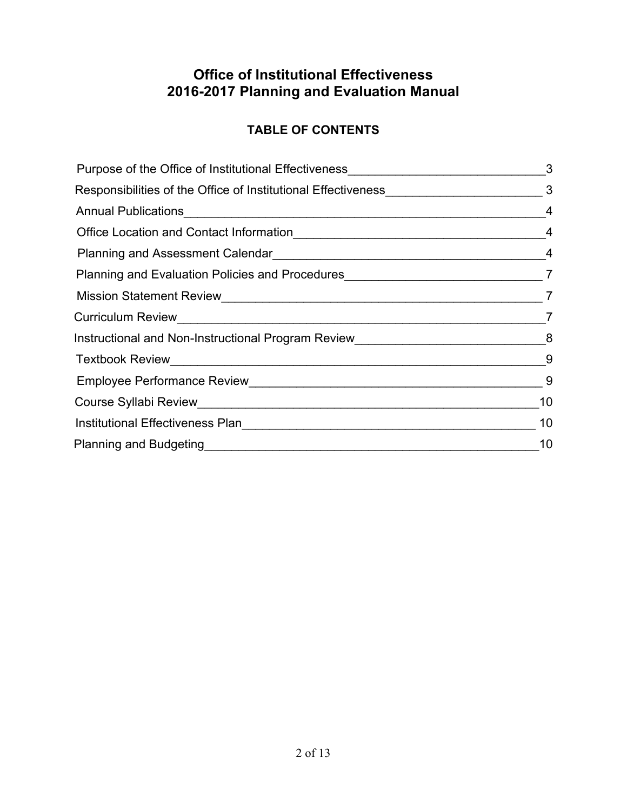# **TABLE OF CONTENTS**

| Purpose of the Office of Institutional Effectiveness____________________________   | 3              |
|------------------------------------------------------------------------------------|----------------|
|                                                                                    |                |
|                                                                                    | $\overline{4}$ |
|                                                                                    | $\overline{4}$ |
|                                                                                    | $\overline{4}$ |
| Planning and Evaluation Policies and Procedures                                    | $\overline{7}$ |
|                                                                                    |                |
|                                                                                    | 7              |
| Instructional and Non-Instructional Program Review_______________________________8 |                |
|                                                                                    | - 9            |
|                                                                                    | - 9            |
|                                                                                    | 10             |
| Institutional Effectiveness Plan                                                   | 10             |
| Planning and Budgeting <b>Fig. 1.1 (1996)</b> Planning and Budgeting               | 10             |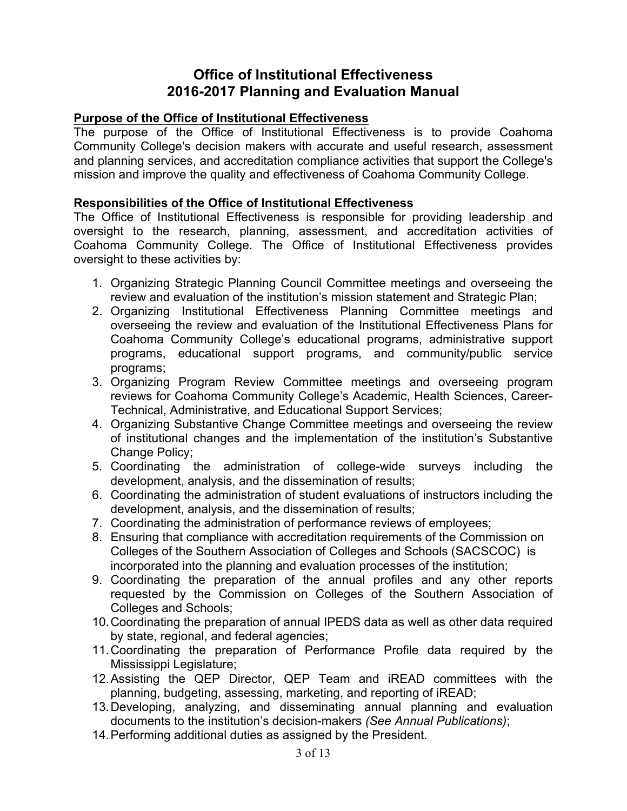### **Purpose of the Office of Institutional Effectiveness**

The purpose of the Office of Institutional Effectiveness is to provide Coahoma Community College's decision makers with accurate and useful research, assessment and planning services, and accreditation compliance activities that support the College's mission and improve the quality and effectiveness of Coahoma Community College.

### **Responsibilities of the Office of Institutional Effectiveness**

The Office of Institutional Effectiveness is responsible for providing leadership and oversight to the research, planning, assessment, and accreditation activities of Coahoma Community College. The Office of Institutional Effectiveness provides oversight to these activities by:

- 1. Organizing Strategic Planning Council Committee meetings and overseeing the review and evaluation of the institution's mission statement and Strategic Plan;
- 2. Organizing Institutional Effectiveness Planning Committee meetings and overseeing the review and evaluation of the Institutional Effectiveness Plans for Coahoma Community College's educational programs, administrative support programs, educational support programs, and community/public service programs;
- 3. Organizing Program Review Committee meetings and overseeing program reviews for Coahoma Community College's Academic, Health Sciences, Career-Technical, Administrative, and Educational Support Services;
- 4. Organizing Substantive Change Committee meetings and overseeing the review of institutional changes and the implementation of the institution's Substantive Change Policy;
- 5. Coordinating the administration of college-wide surveys including the development, analysis, and the dissemination of results;
- 6. Coordinating the administration of student evaluations of instructors including the development, analysis, and the dissemination of results;
- 7. Coordinating the administration of performance reviews of employees;
- 8. Ensuring that compliance with accreditation requirements of the Commission on Colleges of the Southern Association of Colleges and Schools (SACSCOC) is incorporated into the planning and evaluation processes of the institution;
- 9. Coordinating the preparation of the annual profiles and any other reports requested by the Commission on Colleges of the Southern Association of Colleges and Schools;
- 10.Coordinating the preparation of annual IPEDS data as well as other data required by state, regional, and federal agencies;
- 11.Coordinating the preparation of Performance Profile data required by the Mississippi Legislature;
- 12.Assisting the QEP Director, QEP Team and iREAD committees with the planning, budgeting, assessing, marketing, and reporting of iREAD;
- 13.Developing, analyzing, and disseminating annual planning and evaluation documents to the institution's decision-makers *(See Annual Publications)*;
- 14.Performing additional duties as assigned by the President.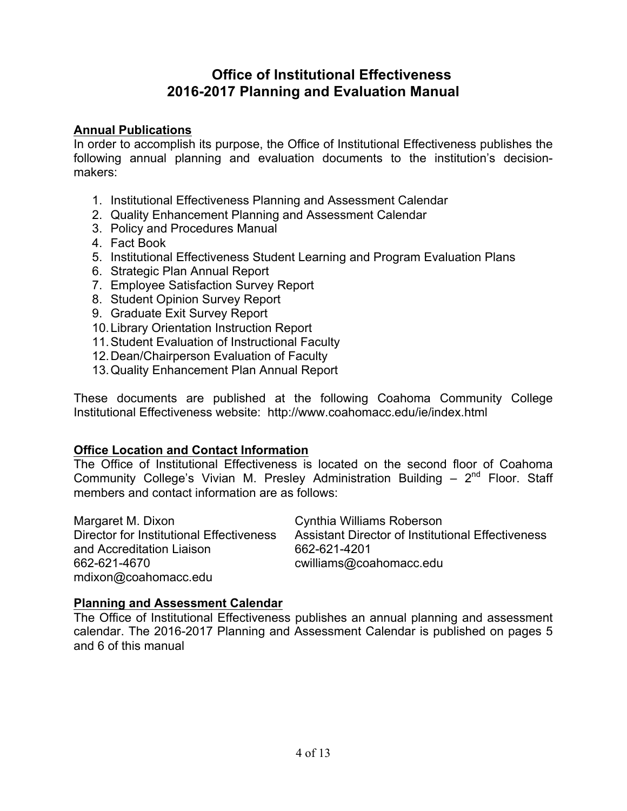### **Annual Publications**

In order to accomplish its purpose, the Office of Institutional Effectiveness publishes the following annual planning and evaluation documents to the institution's decisionmakers:

- 1. Institutional Effectiveness Planning and Assessment Calendar
- 2. Quality Enhancement Planning and Assessment Calendar
- 3. Policy and Procedures Manual
- 4. Fact Book
- 5. Institutional Effectiveness Student Learning and Program Evaluation Plans
- 6. Strategic Plan Annual Report
- 7. Employee Satisfaction Survey Report
- 8. Student Opinion Survey Report
- 9. Graduate Exit Survey Report
- 10.Library Orientation Instruction Report
- 11.Student Evaluation of Instructional Faculty
- 12.Dean/Chairperson Evaluation of Faculty
- 13.Quality Enhancement Plan Annual Report

These documents are published at the following Coahoma Community College Institutional Effectiveness website: http://www.coahomacc.edu/ie/index.html

### **Office Location and Contact Information**

The Office of Institutional Effectiveness is located on the second floor of Coahoma Community College's Vivian M. Presley Administration Building  $-2<sup>nd</sup>$  Floor. Staff members and contact information are as follows:

Margaret M. Dixon Cynthia Williams Roberson Director for Institutional Effectiveness Assistant Director of Institutional Effectiveness and Accreditation Liaison 662-621-4201 662-621-4670 cwilliams@coahomacc.edu mdixon@coahomacc.edu

### **Planning and Assessment Calendar**

The Office of Institutional Effectiveness publishes an annual planning and assessment calendar. The 2016-2017 Planning and Assessment Calendar is published on pages 5 and 6 of this manual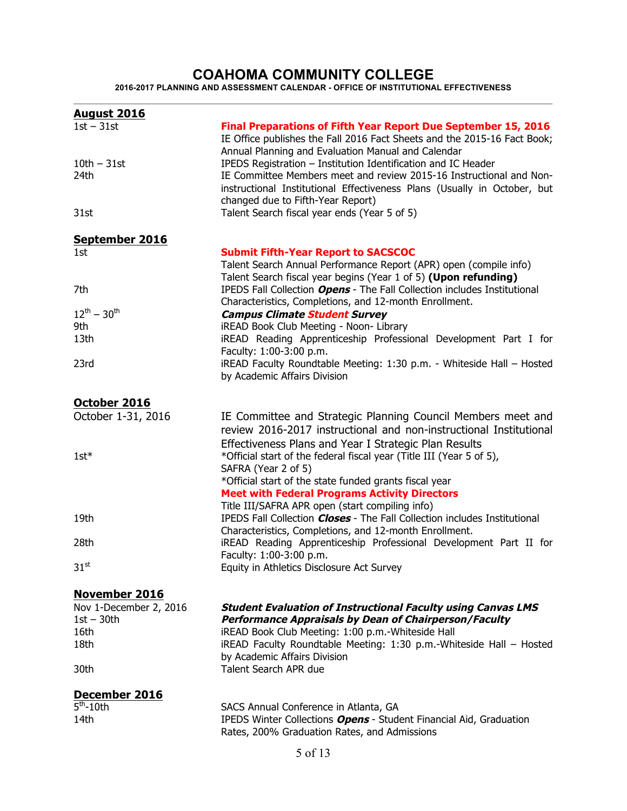### **COAHOMA COMMUNITY COLLEGE**

**2016-2017 PLANNING AND ASSESSMENT CALENDAR - OFFICE OF INSTITUTIONAL EFFECTIVENESS**

| <b>August 2016</b>               |                                                                                                                                                                                                                                                                          |
|----------------------------------|--------------------------------------------------------------------------------------------------------------------------------------------------------------------------------------------------------------------------------------------------------------------------|
| $1st - 31st$<br>$10th - 31st$    | <b>Final Preparations of Fifth Year Report Due September 15, 2016</b><br>IE Office publishes the Fall 2016 Fact Sheets and the 2015-16 Fact Book;<br>Annual Planning and Evaluation Manual and Calendar<br>IPEDS Registration - Institution Identification and IC Header |
| 24th                             | IE Committee Members meet and review 2015-16 Instructional and Non-<br>instructional Institutional Effectiveness Plans (Usually in October, but<br>changed due to Fifth-Year Report)                                                                                     |
| 31st                             | Talent Search fiscal year ends (Year 5 of 5)                                                                                                                                                                                                                             |
| September 2016                   |                                                                                                                                                                                                                                                                          |
| 1st                              | <b>Submit Fifth-Year Report to SACSCOC</b><br>Talent Search Annual Performance Report (APR) open (compile info)<br>Talent Search fiscal year begins (Year 1 of 5) (Upon refunding)                                                                                       |
| 7th<br>$12^{th} - 30^{th}$       | IPEDS Fall Collection Opens - The Fall Collection includes Institutional<br>Characteristics, Completions, and 12-month Enrollment.                                                                                                                                       |
| 9th                              | <b>Campus Climate Student Survey</b><br>iREAD Book Club Meeting - Noon- Library                                                                                                                                                                                          |
| 13th                             | iREAD Reading Apprenticeship Professional Development Part I for<br>Faculty: 1:00-3:00 p.m.                                                                                                                                                                              |
| 23rd                             | iREAD Faculty Roundtable Meeting: 1:30 p.m. - Whiteside Hall - Hosted<br>by Academic Affairs Division                                                                                                                                                                    |
| October 2016                     |                                                                                                                                                                                                                                                                          |
| October 1-31, 2016               | IE Committee and Strategic Planning Council Members meet and<br>review 2016-2017 instructional and non-instructional Institutional<br>Effectiveness Plans and Year I Strategic Plan Results                                                                              |
| $1$ st $*$                       | *Official start of the federal fiscal year (Title III (Year 5 of 5),<br>SAFRA (Year 2 of 5)<br>*Official start of the state funded grants fiscal year                                                                                                                    |
|                                  | <b>Meet with Federal Programs Activity Directors</b><br>Title III/SAFRA APR open (start compiling info)                                                                                                                                                                  |
| 19th                             | IPEDS Fall Collection <i>Closes</i> - The Fall Collection includes Institutional<br>Characteristics, Completions, and 12-month Enrollment.                                                                                                                               |
| 28th                             | iREAD Reading Apprenticeship Professional Development Part II for<br>Faculty: 1:00-3:00 p.m.                                                                                                                                                                             |
| $31^{st}$                        | Equity in Athletics Disclosure Act Survey                                                                                                                                                                                                                                |
| November 2016                    |                                                                                                                                                                                                                                                                          |
| Nov 1-December 2, 2016           | <b>Student Evaluation of Instructional Faculty using Canvas LMS</b>                                                                                                                                                                                                      |
| $1st - 30th$                     | <b>Performance Appraisals by Dean of Chairperson/Faculty</b>                                                                                                                                                                                                             |
| 16th                             | iREAD Book Club Meeting: 1:00 p.m.-Whiteside Hall                                                                                                                                                                                                                        |
| 18th                             | iREAD Faculty Roundtable Meeting: 1:30 p.m.-Whiteside Hall - Hosted<br>by Academic Affairs Division                                                                                                                                                                      |
| 30th                             | Talent Search APR due                                                                                                                                                                                                                                                    |
| December 2016                    |                                                                                                                                                                                                                                                                          |
| $\overline{5}^{\text{th}}$ -10th | SACS Annual Conference in Atlanta, GA                                                                                                                                                                                                                                    |
| 14th                             | IPEDS Winter Collections Opens - Student Financial Aid, Graduation<br>Rates, 200% Graduation Rates, and Admissions                                                                                                                                                       |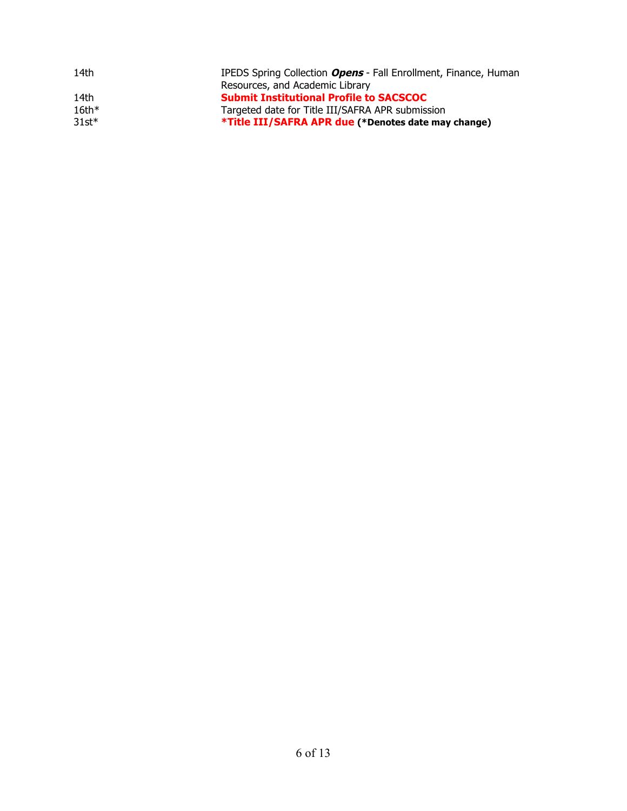| 14th    | IPEDS Spring Collection Opens - Fall Enrollment, Finance, Human |
|---------|-----------------------------------------------------------------|
|         | Resources, and Academic Library                                 |
| 14th    | <b>Submit Institutional Profile to SACSCOC</b>                  |
| $16th*$ | Targeted date for Title III/SAFRA APR submission                |
| $31st*$ | *Title III/SAFRA APR due (*Denotes date may change)             |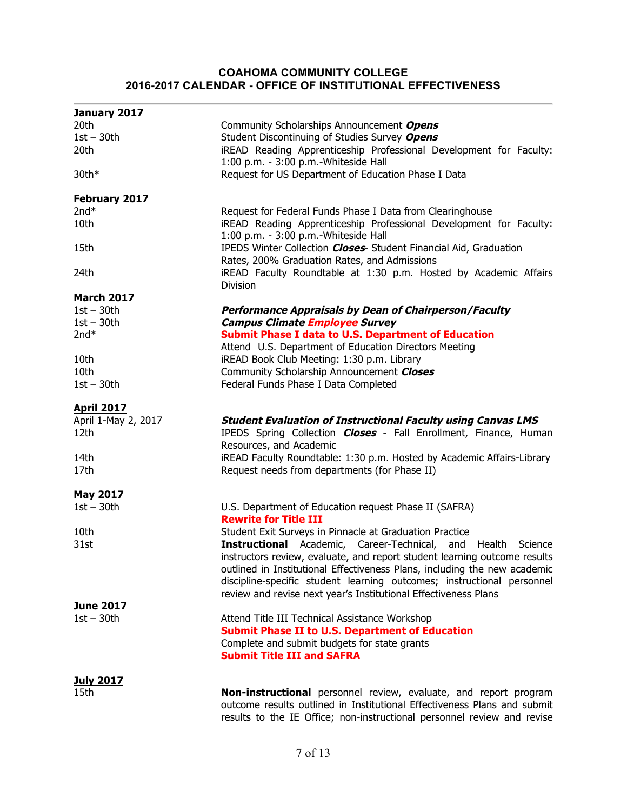#### **COAHOMA COMMUNITY COLLEGE 2016-2017 CALENDAR - OFFICE OF INSTITUTIONAL EFFECTIVENESS**

| January 2017                             |                                                                                                            |
|------------------------------------------|------------------------------------------------------------------------------------------------------------|
| 20th                                     | Community Scholarships Announcement Opens                                                                  |
| $1st - 30th$                             | Student Discontinuing of Studies Survey Opens                                                              |
| 20th                                     | iREAD Reading Apprenticeship Professional Development for Faculty:                                         |
|                                          | 1:00 p.m. - 3:00 p.m.-Whiteside Hall                                                                       |
| $30th*$                                  | Request for US Department of Education Phase I Data                                                        |
| <b>February 2017</b>                     |                                                                                                            |
| $2nd*$                                   | Request for Federal Funds Phase I Data from Clearinghouse                                                  |
| 10th                                     | iREAD Reading Apprenticeship Professional Development for Faculty:<br>1:00 p.m. - 3:00 p.m.-Whiteside Hall |
| 15th                                     | IPEDS Winter Collection Closes - Student Financial Aid, Graduation                                         |
|                                          | Rates, 200% Graduation Rates, and Admissions                                                               |
| 24th                                     | iREAD Faculty Roundtable at 1:30 p.m. Hosted by Academic Affairs<br>Division                               |
| <b>March 2017</b>                        |                                                                                                            |
| $1st - 30th$                             | <b>Performance Appraisals by Dean of Chairperson/Faculty</b>                                               |
| $1st - 30th$                             | <b>Campus Climate Employee Survey</b>                                                                      |
| $2nd*$                                   | <b>Submit Phase I data to U.S. Department of Education</b>                                                 |
|                                          | Attend U.S. Department of Education Directors Meeting                                                      |
| 10th                                     | iREAD Book Club Meeting: 1:30 p.m. Library                                                                 |
| 10th                                     | Community Scholarship Announcement Closes                                                                  |
| $1st - 30th$                             | Federal Funds Phase I Data Completed                                                                       |
|                                          |                                                                                                            |
|                                          |                                                                                                            |
|                                          |                                                                                                            |
| <b>April 2017</b><br>April 1-May 2, 2017 | <b>Student Evaluation of Instructional Faculty using Canvas LMS</b>                                        |
| 12th                                     | IPEDS Spring Collection <b>Closes</b> - Fall Enrollment, Finance, Human                                    |
|                                          | Resources, and Academic                                                                                    |
| 14th                                     | iREAD Faculty Roundtable: 1:30 p.m. Hosted by Academic Affairs-Library                                     |
| 17th                                     | Request needs from departments (for Phase II)                                                              |
|                                          |                                                                                                            |
| <b>May 2017</b>                          |                                                                                                            |
| $1st - 30th$                             | U.S. Department of Education request Phase II (SAFRA)                                                      |
|                                          | <b>Rewrite for Title III</b>                                                                               |
| 10th                                     | Student Exit Surveys in Pinnacle at Graduation Practice                                                    |
| 31st                                     | <b>Instructional</b> Academic, Career-Technical,<br>Health<br>and<br>Science                               |
|                                          | instructors review, evaluate, and report student learning outcome results                                  |
|                                          | outlined in Institutional Effectiveness Plans, including the new academic                                  |
|                                          | discipline-specific student learning outcomes; instructional personnel                                     |
|                                          | review and revise next year's Institutional Effectiveness Plans                                            |
| <b>June 2017</b>                         |                                                                                                            |
| $1st - 30th$                             | Attend Title III Technical Assistance Workshop                                                             |
|                                          | <b>Submit Phase II to U.S. Department of Education</b>                                                     |
|                                          | Complete and submit budgets for state grants                                                               |
|                                          | <b>Submit Title III and SAFRA</b>                                                                          |
|                                          |                                                                                                            |
| <b>July 2017</b><br>15th                 | Non-instructional personnel review, evaluate, and report program                                           |

results to the IE Office; non-instructional personnel review and revise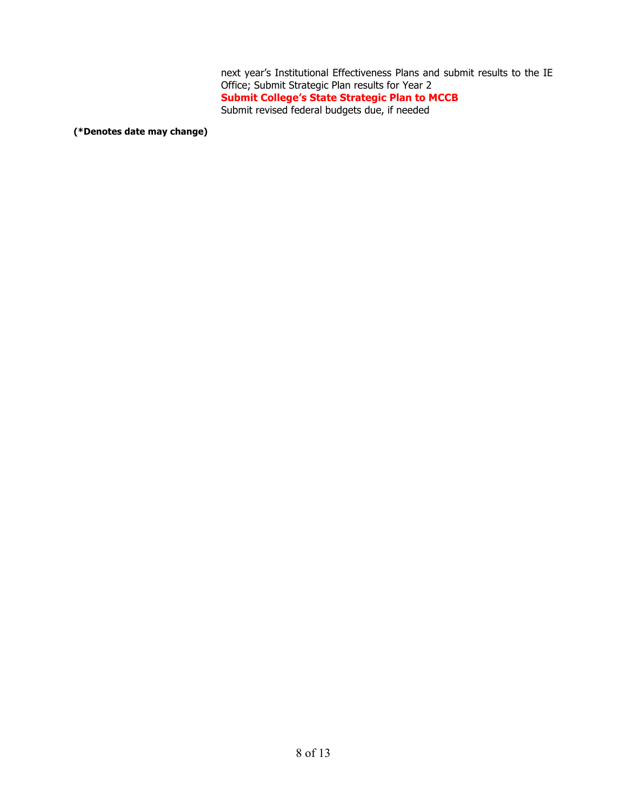next year's Institutional Effectiveness Plans and submit results to the IE Office; Submit Strategic Plan results for Year 2 **Submit College's State Strategic Plan to MCCB** Submit revised federal budgets due, if needed

**(\*Denotes date may change)**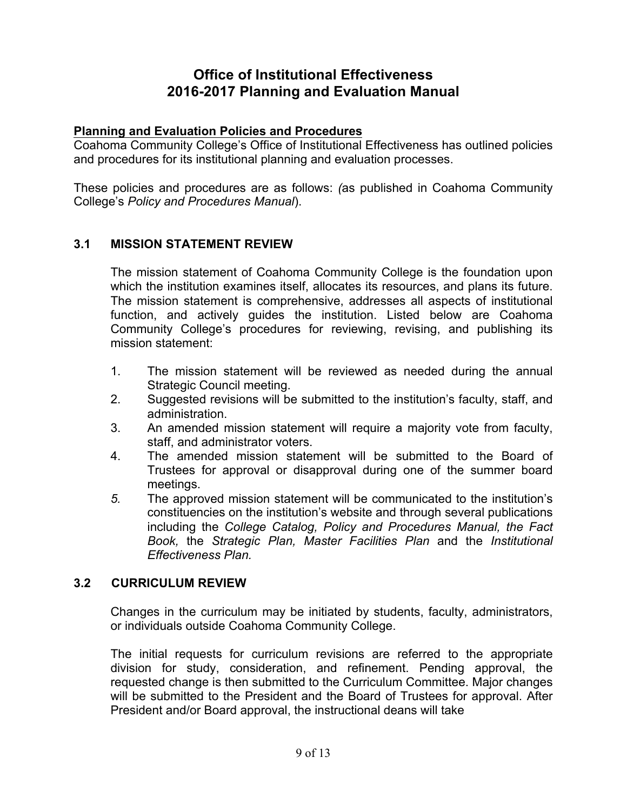### **Planning and Evaluation Policies and Procedures**

Coahoma Community College's Office of Institutional Effectiveness has outlined policies and procedures for its institutional planning and evaluation processes.

These policies and procedures are as follows: *(*as published in Coahoma Community College's *Policy and Procedures Manual*).

### **3.1 MISSION STATEMENT REVIEW**

The mission statement of Coahoma Community College is the foundation upon which the institution examines itself, allocates its resources, and plans its future. The mission statement is comprehensive, addresses all aspects of institutional function, and actively guides the institution. Listed below are Coahoma Community College's procedures for reviewing, revising, and publishing its mission statement:

- 1. The mission statement will be reviewed as needed during the annual Strategic Council meeting.
- 2. Suggested revisions will be submitted to the institution's faculty, staff, and administration.
- 3. An amended mission statement will require a majority vote from faculty, staff, and administrator voters.
- 4. The amended mission statement will be submitted to the Board of Trustees for approval or disapproval during one of the summer board meetings.
- *5.* The approved mission statement will be communicated to the institution's constituencies on the institution's website and through several publications including the *College Catalog, Policy and Procedures Manual, the Fact Book,* the *Strategic Plan, Master Facilities Plan* and the *Institutional Effectiveness Plan.*

### **3.2 CURRICULUM REVIEW**

Changes in the curriculum may be initiated by students, faculty, administrators, or individuals outside Coahoma Community College.

The initial requests for curriculum revisions are referred to the appropriate division for study, consideration, and refinement. Pending approval, the requested change is then submitted to the Curriculum Committee. Major changes will be submitted to the President and the Board of Trustees for approval. After President and/or Board approval, the instructional deans will take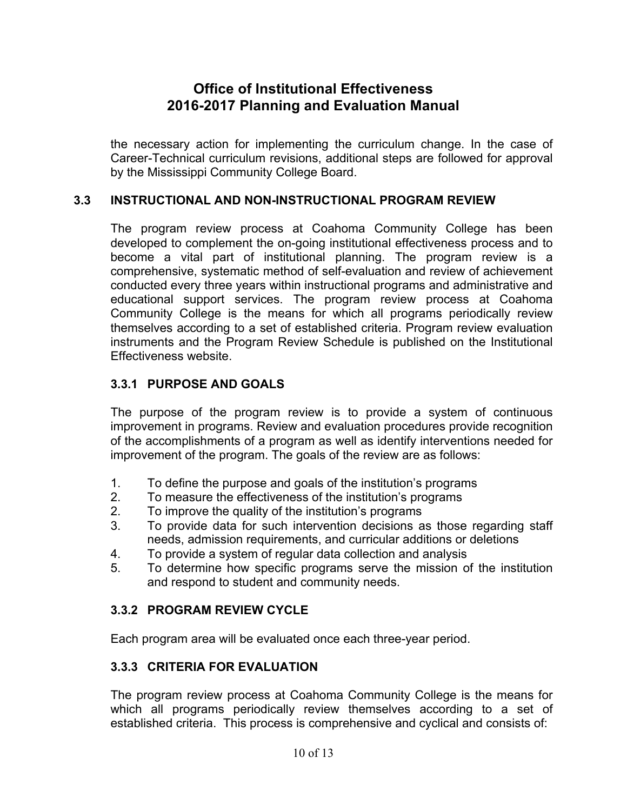the necessary action for implementing the curriculum change. In the case of Career-Technical curriculum revisions, additional steps are followed for approval by the Mississippi Community College Board.

### **3.3 INSTRUCTIONAL AND NON-INSTRUCTIONAL PROGRAM REVIEW**

The program review process at Coahoma Community College has been developed to complement the on-going institutional effectiveness process and to become a vital part of institutional planning. The program review is a comprehensive, systematic method of self-evaluation and review of achievement conducted every three years within instructional programs and administrative and educational support services. The program review process at Coahoma Community College is the means for which all programs periodically review themselves according to a set of established criteria. Program review evaluation instruments and the Program Review Schedule is published on the Institutional Effectiveness website.

### **3.3.1 PURPOSE AND GOALS**

The purpose of the program review is to provide a system of continuous improvement in programs. Review and evaluation procedures provide recognition of the accomplishments of a program as well as identify interventions needed for improvement of the program. The goals of the review are as follows:

- 1. To define the purpose and goals of the institution's programs
- 2. To measure the effectiveness of the institution's programs
- 2. To improve the quality of the institution's programs
- 3. To provide data for such intervention decisions as those regarding staff needs, admission requirements, and curricular additions or deletions
- 4. To provide a system of regular data collection and analysis
- 5. To determine how specific programs serve the mission of the institution and respond to student and community needs.

### **3.3.2 PROGRAM REVIEW CYCLE**

Each program area will be evaluated once each three-year period.

### **3.3.3 CRITERIA FOR EVALUATION**

The program review process at Coahoma Community College is the means for which all programs periodically review themselves according to a set of established criteria. This process is comprehensive and cyclical and consists of: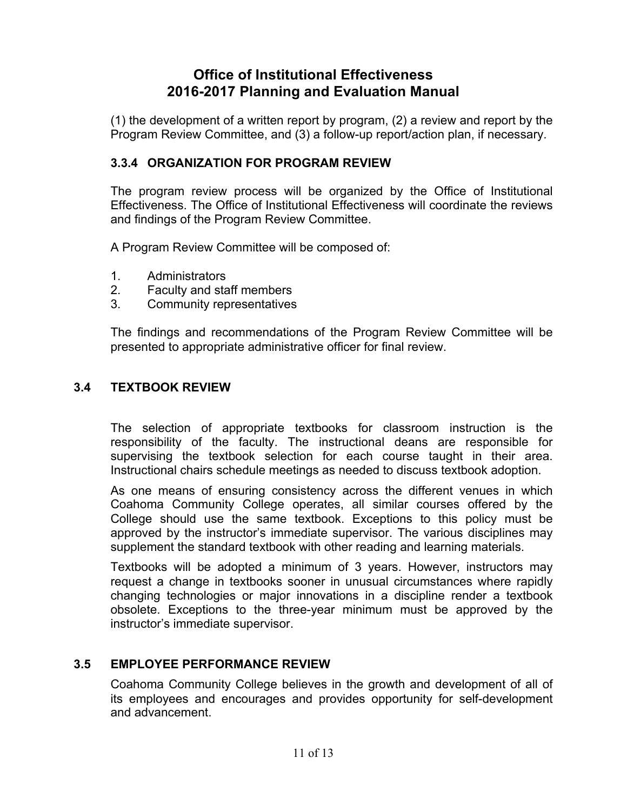(1) the development of a written report by program, (2) a review and report by the Program Review Committee, and (3) a follow-up report/action plan, if necessary.

### **3.3.4 ORGANIZATION FOR PROGRAM REVIEW**

The program review process will be organized by the Office of Institutional Effectiveness. The Office of Institutional Effectiveness will coordinate the reviews and findings of the Program Review Committee.

A Program Review Committee will be composed of:

- 1. Administrators
- 2. Faculty and staff members
- 3. Community representatives

The findings and recommendations of the Program Review Committee will be presented to appropriate administrative officer for final review.

### **3.4 TEXTBOOK REVIEW**

The selection of appropriate textbooks for classroom instruction is the responsibility of the faculty. The instructional deans are responsible for supervising the textbook selection for each course taught in their area. Instructional chairs schedule meetings as needed to discuss textbook adoption.

As one means of ensuring consistency across the different venues in which Coahoma Community College operates, all similar courses offered by the College should use the same textbook. Exceptions to this policy must be approved by the instructor's immediate supervisor. The various disciplines may supplement the standard textbook with other reading and learning materials.

Textbooks will be adopted a minimum of 3 years. However, instructors may request a change in textbooks sooner in unusual circumstances where rapidly changing technologies or major innovations in a discipline render a textbook obsolete. Exceptions to the three-year minimum must be approved by the instructor's immediate supervisor.

### **3.5 EMPLOYEE PERFORMANCE REVIEW**

Coahoma Community College believes in the growth and development of all of its employees and encourages and provides opportunity for self-development and advancement.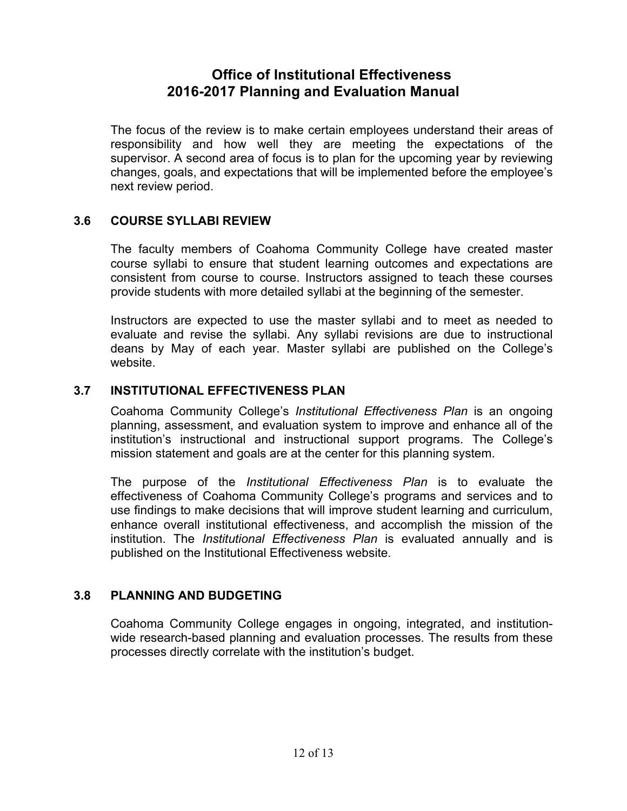The focus of the review is to make certain employees understand their areas of responsibility and how well they are meeting the expectations of the supervisor. A second area of focus is to plan for the upcoming year by reviewing changes, goals, and expectations that will be implemented before the employee's next review period.

### **3.6 COURSE SYLLABI REVIEW**

The faculty members of Coahoma Community College have created master course syllabi to ensure that student learning outcomes and expectations are consistent from course to course. Instructors assigned to teach these courses provide students with more detailed syllabi at the beginning of the semester.

Instructors are expected to use the master syllabi and to meet as needed to evaluate and revise the syllabi. Any syllabi revisions are due to instructional deans by May of each year. Master syllabi are published on the College's website.

### **3.7 INSTITUTIONAL EFFECTIVENESS PLAN**

Coahoma Community College's *Institutional Effectiveness Plan* is an ongoing planning, assessment, and evaluation system to improve and enhance all of the institution's instructional and instructional support programs. The College's mission statement and goals are at the center for this planning system.

The purpose of the *Institutional Effectiveness Plan* is to evaluate the effectiveness of Coahoma Community College's programs and services and to use findings to make decisions that will improve student learning and curriculum, enhance overall institutional effectiveness, and accomplish the mission of the institution. The *Institutional Effectiveness Plan* is evaluated annually and is published on the Institutional Effectiveness website.

### **3.8 PLANNING AND BUDGETING**

Coahoma Community College engages in ongoing, integrated, and institutionwide research-based planning and evaluation processes. The results from these processes directly correlate with the institution's budget.